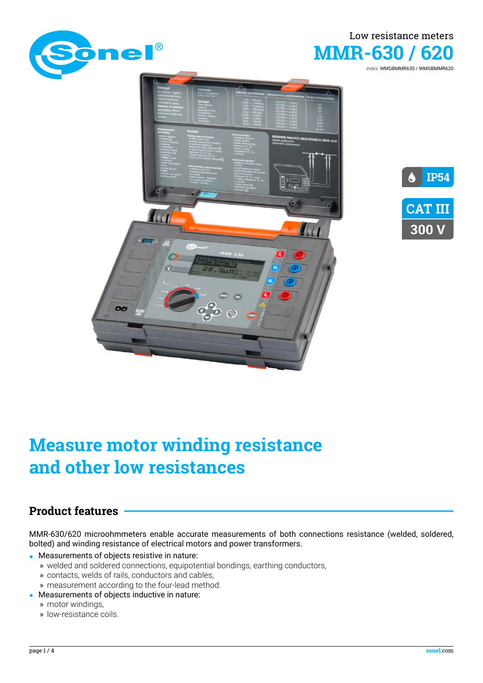



index: WMGBMMR630 / WMGBMMR620





# **Measure motor winding resistance and other low resistances**

### **Product features**

MMR-630/620 microohmmeters enable accurate measurements of both connections resistance (welded, soldered, bolted) and winding resistance of electrical motors and power transformers.

- **•** Measurements of objects resistive in nature:
- » welded and soldered connections, equipotential bondings, earthing conductors,
	- » contacts, welds of rails, conductors and cables,
	- » measurement according to the four-lead method.
- **•** Measurements of objects inductive in nature:
	- » motor windings,
	- » low-resistance coils.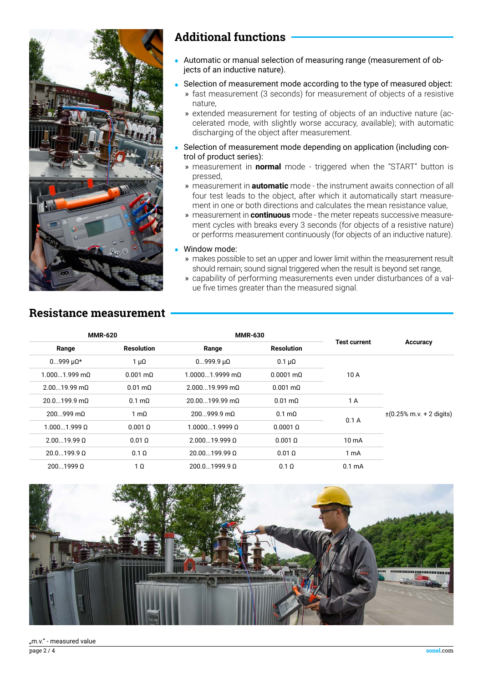

### **Additional functions**

- **•** Automatic or manual selection of measuring range (measurement of objects of an inductive nature).
- **•** Selection of measurement mode according to the type of measured object:
	- » fast measurement (3 seconds) for measurement of objects of a resistive nature,
	- » extended measurement for testing of objects of an inductive nature (accelerated mode, with slightly worse accuracy, available); with automatic discharging of the object after measurement.
- **•** Selection of measurement mode depending on application (including control of product series):
	- » measurement in **normal** mode triggered when the "START" button is pressed,
	- » measurement in **automatic** mode the instrument awaits connection of all four test leads to the object, after which it automatically start measurement in one or both directions and calculates the mean resistance value,
	- » measurement in **continuous** mode the meter repeats successive measurement cycles with breaks every 3 seconds (for objects of a resistive nature) or performs measurement continuously (for objects of an inductive nature).

#### **•** Window mode:

- » makes possible to set an upper and lower limit within the measurement result should remain; sound signal triggered when the result is beyond set range,
- » capability of performing measurements even under disturbances of a value five times greater than the measured signal.

### **Resistance measurement**

|                                                |                     | <b>MMR-630</b>          |                           | <b>MMR-620</b>          |                         |
|------------------------------------------------|---------------------|-------------------------|---------------------------|-------------------------|-------------------------|
| Accuracy                                       | <b>Test current</b> | <b>Resolution</b>       | Range                     | <b>Resolution</b>       | Range                   |
|                                                | 10 A                | $0.1 \ \mu\Omega$       | $0999.9 \mu\Omega$        | $1 \mu\Omega$           | $0999 \mu\Omega^*$      |
|                                                |                     | $0.0001 \text{ m}$      | $1.00001.9999$ m $\Omega$ | $0.001 \text{ m}\Omega$ | $1.0001.999$ m $\Omega$ |
|                                                |                     | $0.001 \text{ m}\Omega$ | $2.00019.999$ m $\Omega$  | $0.01 \text{ m}\Omega$  | $2.0019.99 \text{ mA}$  |
|                                                | 1 A                 | $0.01 \text{ m}\Omega$  | $20.00199.99 \text{ m}$   | $0.1 \text{ m}\Omega$   | $20.0199.9 \text{ mA}$  |
| $\pm (0.25\% \text{ m.v.} + 2 \text{ digits})$ | 0.1A                | $0.1 \text{ m}\Omega$   | $200999.9 \text{ mA}$     | 1 m $\Omega$            | $200999$ m $\Omega$     |
|                                                |                     | $0.0001$ $\Omega$       | $1.00001.9999 \Omega$     | $0.001 \Omega$          | 1.0001.9990             |
|                                                | $10 \text{ mA}$     | $0.001$ $\Omega$        | $2.00019.999 \Omega$      | $0.01\Omega$            | $2.0019.99 \Omega$      |
|                                                | 1 <sub>mA</sub>     | $0.01\Omega$            | $20.00199.99 \Omega$      | $0.1 \Omega$            | $20.0199.9 \Omega$      |
|                                                | 0.1 <sub>m</sub> A  | $0.1 \Omega$            | $200.01999.9 \Omega$      | $1 \Omega$              | 20019990                |

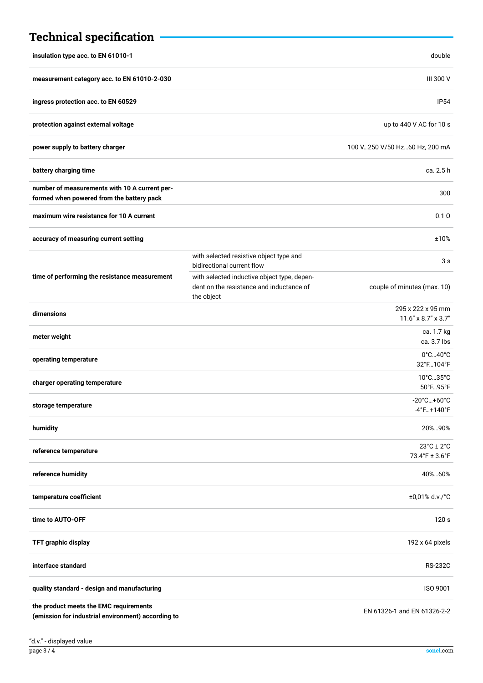| <b>Technical specification</b>                                                               |                                                                                                       |                                                                       |
|----------------------------------------------------------------------------------------------|-------------------------------------------------------------------------------------------------------|-----------------------------------------------------------------------|
| insulation type acc. to EN 61010-1                                                           |                                                                                                       | double                                                                |
| measurement category acc. to EN 61010-2-030                                                  |                                                                                                       | III 300 V                                                             |
| ingress protection acc. to EN 60529                                                          |                                                                                                       | IP <sub>54</sub>                                                      |
| protection against external voltage                                                          |                                                                                                       | up to 440 V AC for 10 s                                               |
| power supply to battery charger                                                              |                                                                                                       | 100 V250 V/50 Hz60 Hz, 200 mA                                         |
| battery charging time                                                                        |                                                                                                       | ca. 2.5 h                                                             |
| number of measurements with 10 A current per-<br>formed when powered from the battery pack   |                                                                                                       | 300                                                                   |
| maximum wire resistance for 10 A current                                                     |                                                                                                       | $0.1 \Omega$                                                          |
| accuracy of measuring current setting                                                        |                                                                                                       | ±10%                                                                  |
| time of performing the resistance measurement                                                | with selected resistive object type and<br>bidirectional current flow                                 | 3s                                                                    |
|                                                                                              | with selected inductive object type, depen-<br>dent on the resistance and inductance of<br>the object | couple of minutes (max. 10)                                           |
| dimensions                                                                                   |                                                                                                       | 295 x 222 x 95 mm<br>11.6" x 8.7" x 3.7"                              |
| meter weight                                                                                 |                                                                                                       | ca. 1.7 kg<br>ca. 3.7 lbs                                             |
| operating temperature                                                                        |                                                                                                       | $0^\circ$ C $40^\circ$ C<br>32°F104°F                                 |
| charger operating temperature                                                                |                                                                                                       | 10°C35°C<br>50°F95°F                                                  |
| storage temperature                                                                          |                                                                                                       | $-20^{\circ}$ C $+60^{\circ}$ C<br>-4°F+140°F                         |
| humidity                                                                                     |                                                                                                       | 20%90%                                                                |
| reference temperature                                                                        |                                                                                                       | $23^{\circ}$ C ± 2 $^{\circ}$ C<br>$73.4^{\circ}$ F ± $3.6^{\circ}$ F |
| reference humidity                                                                           |                                                                                                       | 40%60%                                                                |
| temperature coefficient                                                                      |                                                                                                       | ±0,01% d.v./°C                                                        |
| time to AUTO-OFF                                                                             |                                                                                                       | 120 s                                                                 |
| TFT graphic display                                                                          |                                                                                                       | 192 x 64 pixels                                                       |
| interface standard                                                                           |                                                                                                       | <b>RS-232C</b>                                                        |
| quality standard - design and manufacturing                                                  |                                                                                                       | ISO 9001                                                              |
| the product meets the EMC requirements<br>(emission for industrial environment) according to |                                                                                                       | EN 61326-1 and EN 61326-2-2                                           |